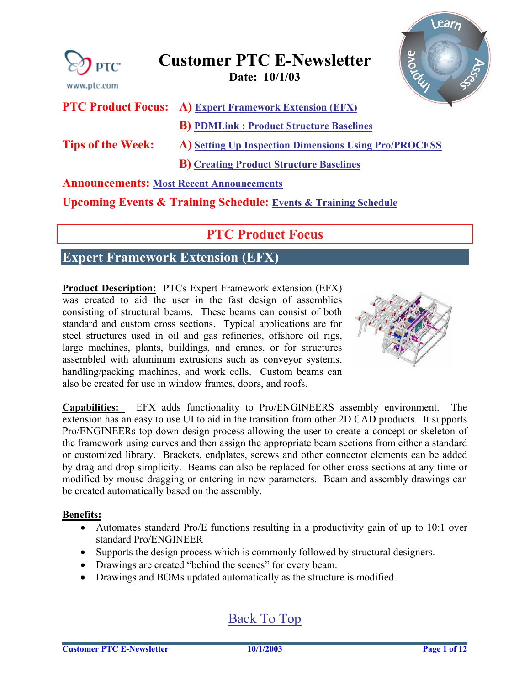<span id="page-0-0"></span>

**Upcoming Events & Training Schedule: [Events & Training Schedule](#page-11-0)**

## **PTC Product Focus**

### **Expert Framework Extension (EFX)**

**Product Description:** PTCs Expert Framework extension (EFX) was created to aid the user in the fast design of assemblies consisting of structural beams. These beams can consist of both standard and custom cross sections. Typical applications are for steel structures used in oil and gas refineries, offshore oil rigs, large machines, plants, buildings, and cranes, or for structures assembled with aluminum extrusions such as conveyor systems, handling/packing machines, and work cells. Custom beams can also be created for use in window frames, doors, and roofs.



**Capabilities:** EFX adds functionality to Pro/ENGINEERS assembly environment. The extension has an easy to use UI to aid in the transition from other 2D CAD products. It supports Pro/ENGINEERs top down design process allowing the user to create a concept or skeleton of the framework using curves and then assign the appropriate beam sections from either a standard or customized library. Brackets, endplates, screws and other connector elements can be added by drag and drop simplicity. Beams can also be replaced for other cross sections at any time or modified by mouse dragging or entering in new parameters. Beam and assembly drawings can be created automatically based on the assembly.

#### **Benefits:**

- Automates standard Pro/E functions resulting in a productivity gain of up to 10:1 over standard Pro/ENGINEER
- Supports the design process which is commonly followed by structural designers.
- Drawings are created "behind the scenes" for every beam.
- Drawings and BOMs updated automatically as the structure is modified.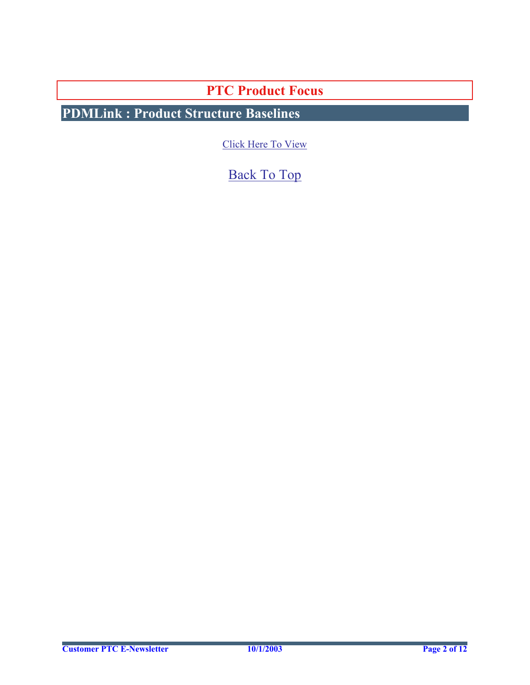**PTC Product Focus** 

<span id="page-1-0"></span>**PDMLink : Product Structure Baselines** 

[Click Here To View](http://members.shaw.ca/jpeng/newsletter/Customer_PTC_E-Newsletter_10-1-2003_B.pdf)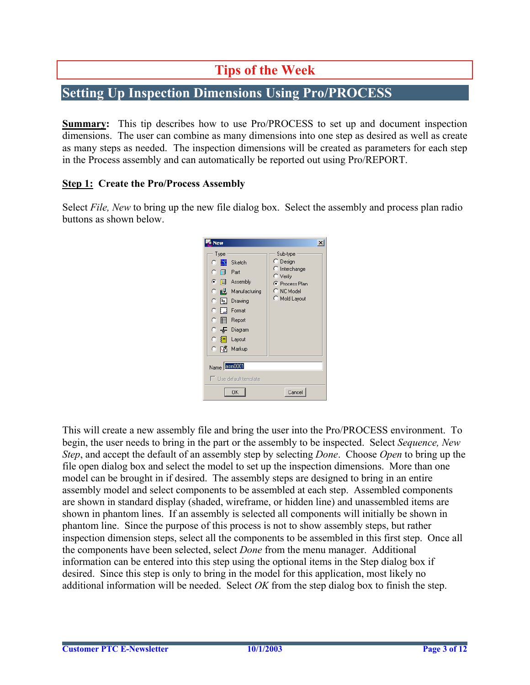## **Tips of the Week**

### <span id="page-2-0"></span>**Setting Up Inspection Dimensions Using Pro/PROCESS**

**Summary:** This tip describes how to use Pro/PROCESS to set up and document inspection dimensions. The user can combine as many dimensions into one step as desired as well as create as many steps as needed. The inspection dimensions will be created as parameters for each step in the Process assembly and can automatically be reported out using Pro/REPORT.

#### **Step 1: Create the Pro/Process Assembly**

Select *File, New* to bring up the new file dialog box. Select the assembly and process plan radio buttons as shown below.

| New                                                                                                                                                                                                                           | $\times$                                                                                                       |
|-------------------------------------------------------------------------------------------------------------------------------------------------------------------------------------------------------------------------------|----------------------------------------------------------------------------------------------------------------|
| Type<br><b>C N</b> Sketch<br>o<br>Part<br>G.<br>Assembly<br><b>IB</b><br>Manufacturing<br>c<br> 및 Drawing<br>O.<br>$\bigcirc$ $\prod$ Format<br>⊙ 囯<br>Report<br>C — Diagram<br>C \$⇒1<br>Layout<br>○ 下 <mark>的</mark> Markup | Sub-type<br>C Design<br>C Interchange<br>$\mathsf{\sim}$ Verify<br>C Process Plan<br>C NC Model<br>Mold Layout |
| Name asm0001                                                                                                                                                                                                                  |                                                                                                                |
| □ Use default template                                                                                                                                                                                                        |                                                                                                                |
| 0K                                                                                                                                                                                                                            | Cancel                                                                                                         |

This will create a new assembly file and bring the user into the Pro/PROCESS environment. To begin, the user needs to bring in the part or the assembly to be inspected. Select *Sequence, New Step*, and accept the default of an assembly step by selecting *Done*. Choose *Open* to bring up the file open dialog box and select the model to set up the inspection dimensions. More than one model can be brought in if desired. The assembly steps are designed to bring in an entire assembly model and select components to be assembled at each step. Assembled components are shown in standard display (shaded, wireframe, or hidden line) and unassembled items are shown in phantom lines. If an assembly is selected all components will initially be shown in phantom line. Since the purpose of this process is not to show assembly steps, but rather inspection dimension steps, select all the components to be assembled in this first step. Once all the components have been selected, select *Done* from the menu manager. Additional information can be entered into this step using the optional items in the Step dialog box if desired. Since this step is only to bring in the model for this application, most likely no additional information will be needed. Select *OK* from the step dialog box to finish the step.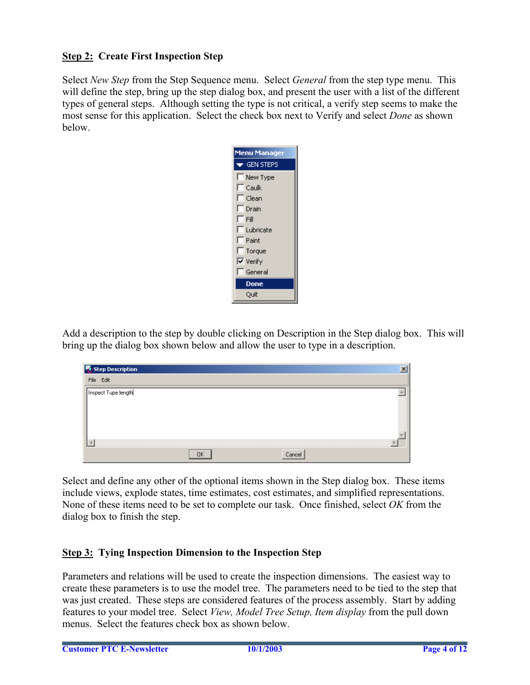#### **Step 2: Create First Inspection Step**

Select *New Step* from the Step Sequence menu. Select *General* from the step type menu. This will define the step, bring up the step dialog box, and present the user with a list of the different types of general steps. Although setting the type is not critical, a verify step seems to make the most sense for this application. Select the check box next to Verify and select *Done* as shown below.



Add a description to the step by double clicking on Description in the Step dialog box. This will bring up the dialog box shown below and allow the user to type in a description.

| Step Description    |           |        | $\overline{\mathsf{x}}$ |
|---------------------|-----------|--------|-------------------------|
| File Edit           |           |        |                         |
| Inspect Tupe length |           |        |                         |
|                     |           |        |                         |
|                     |           |        |                         |
|                     |           |        |                         |
|                     |           |        |                         |
|                     |           |        |                         |
|                     | <b>OK</b> | Cancel |                         |

Select and define any other of the optional items shown in the Step dialog box. These items include views, explode states, time estimates, cost estimates, and simplified representations. None of these items need to be set to complete our task. Once finished, select *OK* from the dialog box to finish the step.

#### **Step 3: Tying Inspection Dimension to the Inspection Step**

Parameters and relations will be used to create the inspection dimensions. The easiest way to create these parameters is to use the model tree. The parameters need to be tied to the step that was just created. These steps are considered features of the process assembly. Start by adding features to your model tree. Select *View, Model Tree Setup, Item display* from the pull down menus. Select the features check box as shown below.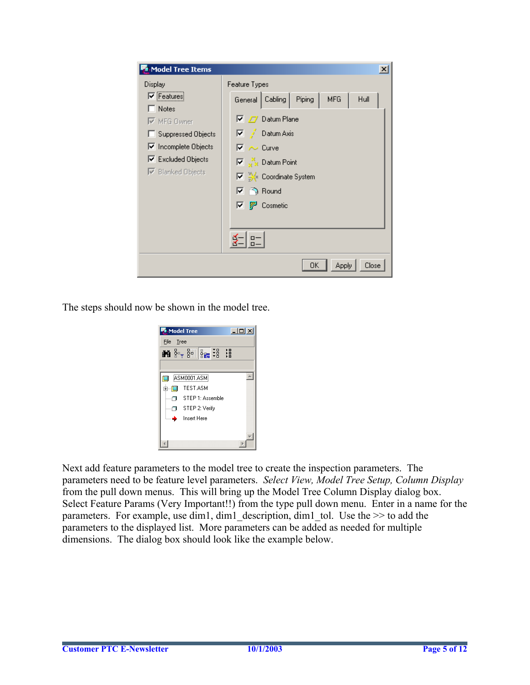

The steps should now be shown in the model tree.



Next add feature parameters to the model tree to create the inspection parameters. The parameters need to be feature level parameters. *Select View, Model Tree Setup, Column Display* from the pull down menus. This will bring up the Model Tree Column Display dialog box. Select Feature Params (Very Important!!) from the type pull down menu. Enter in a name for the parameters. For example, use dim1, dim1 description, dim1 tol. Use the  $\gg$  to add the parameters to the displayed list. More parameters can be added as needed for multiple dimensions. The dialog box should look like the example below.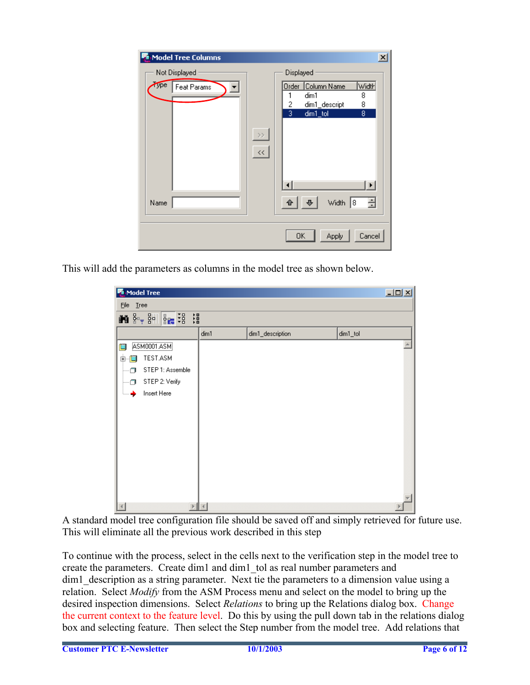

This will add the parameters as columns in the model tree as shown below.

| Model Tree                                                                                                                                       |      |                  | $\Box$   |
|--------------------------------------------------------------------------------------------------------------------------------------------------|------|------------------|----------|
| File Tree                                                                                                                                        |      |                  |          |
| $\mathbf{M}$ $\mathbf{S} = \frac{1}{2}$ $\mathbf{S} = \begin{bmatrix} \frac{1}{2} & \frac{1}{2} \\ \frac{1}{2} & \frac{1}{2} \end{bmatrix}$<br>错 |      |                  |          |
|                                                                                                                                                  | dim1 | dim1_description | dim1_tol |
| ASM0001.ASM                                                                                                                                      |      |                  |          |
| TEST.ASM<br>由                                                                                                                                    |      |                  |          |
| STEP 1: Assemble                                                                                                                                 |      |                  |          |
| STEP 2: Verify                                                                                                                                   |      |                  |          |
| Insert Here<br>$\frac{1}{2}$                                                                                                                     |      |                  |          |
|                                                                                                                                                  |      |                  |          |
|                                                                                                                                                  |      |                  |          |
|                                                                                                                                                  |      |                  |          |
|                                                                                                                                                  |      |                  |          |
|                                                                                                                                                  |      |                  |          |
|                                                                                                                                                  |      |                  |          |
|                                                                                                                                                  |      |                  |          |
|                                                                                                                                                  |      |                  |          |
|                                                                                                                                                  |      |                  |          |

A standard model tree configuration file should be saved off and simply retrieved for future use. This will eliminate all the previous work described in this step

To continue with the process, select in the cells next to the verification step in the model tree to create the parameters. Create dim1 and dim1\_tol as real number parameters and dim1 description as a string parameter. Next tie the parameters to a dimension value using a relation. Select *Modify* from the ASM Process menu and select on the model to bring up the desired inspection dimensions. Select *Relations* to bring up the Relations dialog box. Change the current context to the feature level. Do this by using the pull down tab in the relations dialog box and selecting feature. Then select the Step number from the model tree. Add relations that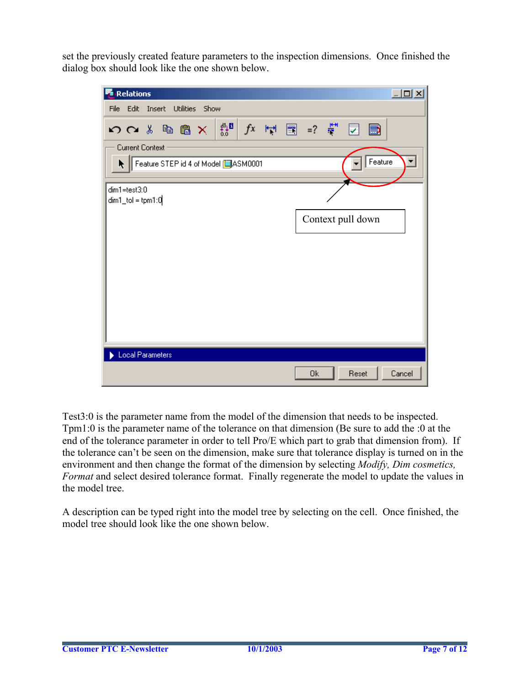set the previously created feature parameters to the inspection dimensions. Once finished the dialog box should look like the one shown below.



Test3:0 is the parameter name from the model of the dimension that needs to be inspected. Tpm1:0 is the parameter name of the tolerance on that dimension (Be sure to add the :0 at the end of the tolerance parameter in order to tell Pro/E which part to grab that dimension from). If the tolerance can't be seen on the dimension, make sure that tolerance display is turned on in the environment and then change the format of the dimension by selecting *Modify, Dim cosmetics, Format* and select desired tolerance format. Finally regenerate the model to update the values in the model tree.

A description can be typed right into the model tree by selecting on the cell. Once finished, the model tree should look like the one shown below.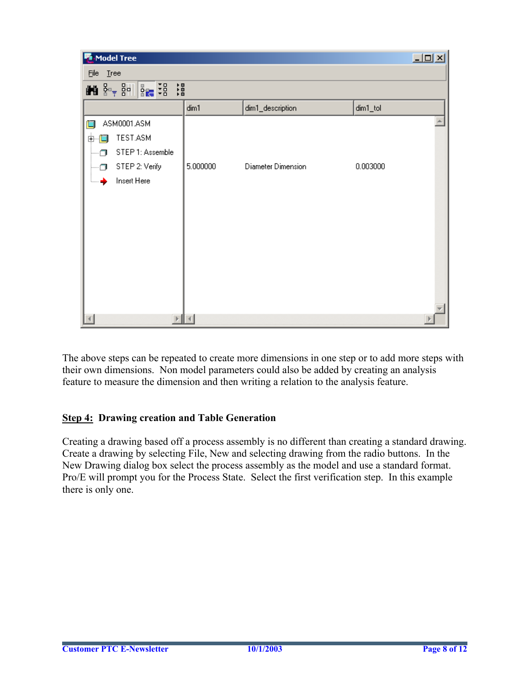| Model Tree                                     |           |                    | $\Box$   |
|------------------------------------------------|-----------|--------------------|----------|
| File Tree                                      |           |                    |          |
| $\frac{1}{2}$ $\frac{1}{2}$<br>错<br>■图 8-1 8-1 |           |                    |          |
|                                                | dim1      | dim1_description   | dim1_tol |
| ASM0001.ASM                                    |           |                    |          |
| TEST.ASM<br>中<br>图                             |           |                    |          |
| STEP 1: Assemble<br>m                          |           |                    |          |
| STEP 2: Verify<br>π                            | 5.000000  | Diameter Dimension | 0.003000 |
| Insert Here<br>⇢♣                              |           |                    |          |
|                                                |           |                    |          |
|                                                |           |                    |          |
|                                                |           |                    |          |
|                                                |           |                    |          |
|                                                |           |                    |          |
|                                                |           |                    |          |
|                                                |           |                    |          |
|                                                |           |                    |          |
|                                                | $\langle$ |                    |          |

The above steps can be repeated to create more dimensions in one step or to add more steps with their own dimensions. Non model parameters could also be added by creating an analysis feature to measure the dimension and then writing a relation to the analysis feature.

#### **Step 4: Drawing creation and Table Generation**

Creating a drawing based off a process assembly is no different than creating a standard drawing. Create a drawing by selecting File, New and selecting drawing from the radio buttons. In the New Drawing dialog box select the process assembly as the model and use a standard format. Pro/E will prompt you for the Process State. Select the first verification step. In this example there is only one.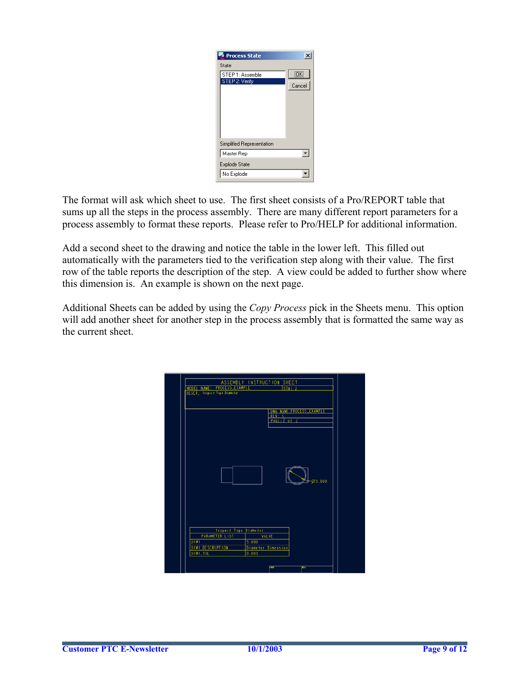| Process State                      | $\overline{\mathbf{x}}$ |
|------------------------------------|-------------------------|
| State                              |                         |
| STEP 1: Assemble<br>STEP 2: Verify | ΪÖΚ.<br>Cancel          |
| Simplified Representation          |                         |
| Master Rep                         |                         |
| Explode State                      |                         |
| No Explode                         |                         |

The format will ask which sheet to use. The first sheet consists of a Pro/REPORT table that sums up all the steps in the process assembly. There are many different report parameters for a process assembly to format these reports. Please refer to Pro/HELP for additional information.

Add a second sheet to the drawing and notice the table in the lower left. This filled out automatically with the parameters tied to the verification step along with their value. The first row of the table reports the description of the step. A view could be added to further show where this dimension is. An example is shown on the next page.

Additional Sheets can be added by using the *Copy Process* pick in the Sheets menu. This option will add another sheet for another step in the process assembly that is formatted the same way as the current sheet.

| ASSEMBLY INSTRUCTION SHEET<br>MODEL NAME: PROCESS_EXAMPLE<br>STA: 2 |  |
|---------------------------------------------------------------------|--|
| DESCR; Taspect Tupe Diameter                                        |  |
| DWG NAME: PROCESS_EXAMPLE                                           |  |
| REV: C<br>PAGE: 2 of 2                                              |  |
|                                                                     |  |
|                                                                     |  |
|                                                                     |  |
|                                                                     |  |
|                                                                     |  |
|                                                                     |  |
| Ø5.000                                                              |  |
|                                                                     |  |
|                                                                     |  |
|                                                                     |  |
|                                                                     |  |
| <b>Inspect Tupe Diameter</b>                                        |  |
| <b>PARAMETER LIST</b><br><b>VALUE</b>                               |  |
| DIMI<br>5.000                                                       |  |
| DIMILDESCRIPTION<br>Diameter Dimension<br>DIMILTOL<br>0.003         |  |
|                                                                     |  |
| 節布<br>œ                                                             |  |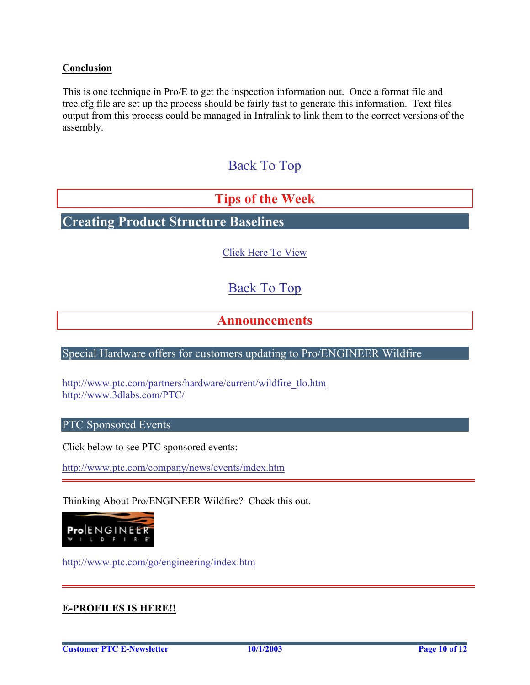#### <span id="page-9-0"></span>**Conclusion**

This is one technique in Pro/E to get the inspection information out. Once a format file and tree.cfg file are set up the process should be fairly fast to generate this information. Text files output from this process could be managed in Intralink to link them to the correct versions of the assembly.

### [Back To Top](#page-0-0)

### **Tips of the Week**

**Creating Product Structure Baselines** 

[Click Here To View](http://members.shaw.ca/jpeng/newsletter/Customer_PTC_E-Newsletter_10-1-2003_B.pdf)

### [Back To Top](#page-0-0)

### **Announcements**

#### Special Hardware offers for customers updating to Pro/ENGINEER Wildfire

[http://www.ptc.com/partners/hardware/current/wildfire\\_tlo.htm](http://www.ptc.com/partners/hardware/current/wildfire_tlo.htm)  <http://www.3dlabs.com/PTC/>

PTC Sponsored Events

Click below to see PTC sponsored events:

<http://www.ptc.com/company/news/events/index.htm>

Thinking About Pro/ENGINEER Wildfire? Check this out.



<http://www.ptc.com/go/engineering/index.htm>

#### **E-PROFILES IS HERE!!**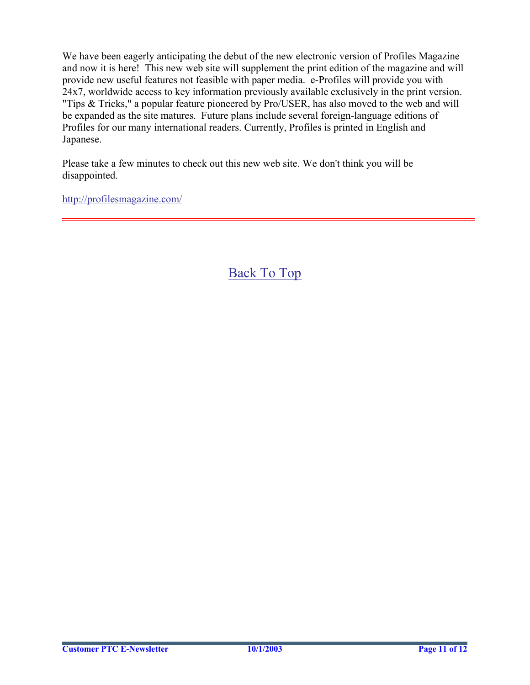We have been eagerly anticipating the debut of the new electronic version of Profiles Magazine and now it is here! This new web site will supplement the print edition of the magazine and will provide new useful features not feasible with paper media. e-Profiles will provide you with 24x7, worldwide access to key information previously available exclusively in the print version. "Tips & Tricks," a popular feature pioneered by Pro/USER, has also moved to the web and will be expanded as the site matures. Future plans include several foreign-language editions of Profiles for our many international readers. Currently, Profiles is printed in English and Japanese.

Please take a few minutes to check out this new web site. We don't think you will be disappointed.

<http://profilesmagazine.com/>